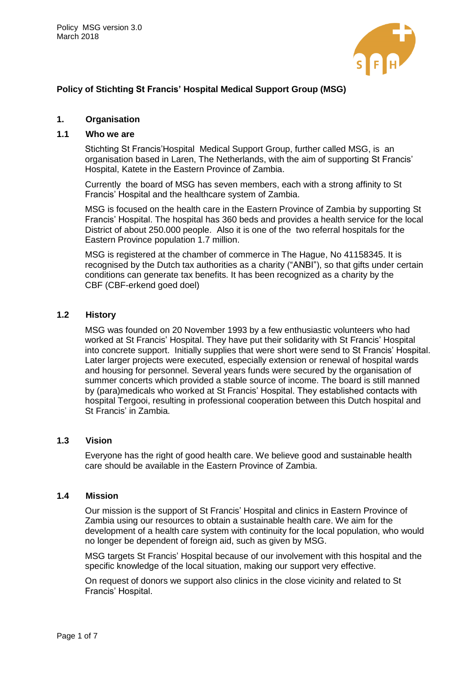

# **Policy of Stichting St Francis' Hospital Medical Support Group (MSG)**

### **1. Organisation**

# **1.1 Who we are**

Stichting St Francis'Hospital Medical Support Group, further called MSG, is an organisation based in Laren, The Netherlands, with the aim of supporting St Francis' Hospital, Katete in the Eastern Province of Zambia.

Currently the board of MSG has seven members, each with a strong affinity to St Francis' Hospital and the healthcare system of Zambia.

MSG is focused on the health care in the Eastern Province of Zambia by supporting St Francis' Hospital. The hospital has 360 beds and provides a health service for the local District of about 250.000 people. Also it is one of the two referral hospitals for the Eastern Province population 1.7 million.

MSG is registered at the chamber of commerce in The Hague, No 41158345. It is recognised by the Dutch tax authorities as a charity ("ANBI"), so that gifts under certain conditions can generate tax benefits. It has been recognized as a charity by the CBF (CBF-erkend goed doel)

### **1.2 History**

MSG was founded on 20 November 1993 by a few enthusiastic volunteers who had worked at St Francis' Hospital. They have put their solidarity with St Francis' Hospital into concrete support. Initially supplies that were short were send to St Francis' Hospital. Later larger projects were executed, especially extension or renewal of hospital wards and housing for personnel. Several years funds were secured by the organisation of summer concerts which provided a stable source of income. The board is still manned by (para)medicals who worked at St Francis' Hospital. They established contacts with hospital Tergooi, resulting in professional cooperation between this Dutch hospital and St Francis' in Zambia.

#### **1.3 Vision**

Everyone has the right of good health care. We believe good and sustainable health care should be available in the Eastern Province of Zambia.

#### **1.4 Mission**

Our mission is the support of St Francis' Hospital and clinics in Eastern Province of Zambia using our resources to obtain a sustainable health care. We aim for the development of a health care system with continuity for the local population, who would no longer be dependent of foreign aid, such as given by MSG.

MSG targets St Francis' Hospital because of our involvement with this hospital and the specific knowledge of the local situation, making our support very effective.

On request of donors we support also clinics in the close vicinity and related to St Francis' Hospital.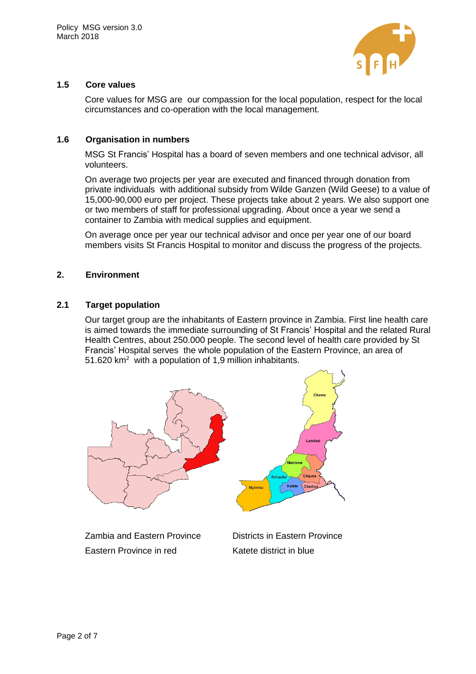

# **1.5 Core values**

Core values for MSG are our compassion for the local population, respect for the local circumstances and co-operation with the local management.

## **1.6 Organisation in numbers**

MSG St Francis' Hospital has a board of seven members and one technical advisor, all volunteers.

On average two projects per year are executed and financed through donation from private individuals with additional subsidy from Wilde Ganzen (Wild Geese) to a value of 15,000-90,000 euro per project. These projects take about 2 years. We also support one or two members of staff for professional upgrading. About once a year we send a container to Zambia with medical supplies and equipment.

On average once per year our technical advisor and once per year one of our board members visits St Francis Hospital to monitor and discuss the progress of the projects.

### **2. Environment**

### **2.1 Target population**

Our target group are the inhabitants of Eastern province in Zambia. First line health care is aimed towards the immediate surrounding of St Francis' Hospital and the related Rural Health Centres, about 250.000 people. The second level of health care provided by St Francis' Hospital serves the whole population of the Eastern Province, an area of 51.620 km<sup>2</sup> with a population of 1,9 million inhabitants.

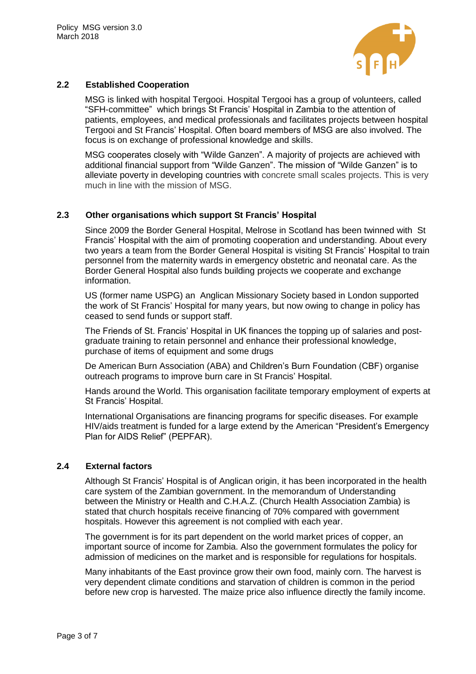

# **2.2 Established Cooperation**

MSG is linked with hospital Tergooi. Hospital Tergooi has a group of volunteers, called "SFH-committee" which brings St Francis' Hospital in Zambia to the attention of patients, employees, and medical professionals and facilitates projects between hospital Tergooi and St Francis' Hospital. Often board members of MSG are also involved. The focus is on exchange of professional knowledge and skills.

MSG cooperates closely with "Wilde Ganzen". A majority of projects are achieved with additional financial support from "Wilde Ganzen". The mission of "Wilde Ganzen" is to alleviate poverty in developing countries with concrete small scales projects. This is very much in line with the mission of MSG.

## **2.3 Other organisations which support St Francis' Hospital**

Since 2009 the Border General Hospital, Melrose in Scotland has been twinned with St Francis' Hospital with the aim of promoting cooperation and understanding. About every two years a team from the Border General Hospital is visiting St Francis' Hospital to train personnel from the maternity wards in emergency obstetric and neonatal care. As the Border General Hospital also funds building projects we cooperate and exchange information.

US (former name USPG) an Anglican Missionary Society based in London supported the work of St Francis' Hospital for many years, but now owing to change in policy has ceased to send funds or support staff.

The Friends of St. Francis' Hospital in UK finances the topping up of salaries and postgraduate training to retain personnel and enhance their professional knowledge, purchase of items of equipment and some drugs

De American Burn Association (ABA) and Children's Burn Foundation (CBF) organise outreach programs to improve burn care in St Francis' Hospital.

Hands around the World. This organisation facilitate temporary employment of experts at St Francis' Hospital.

International Organisations are financing programs for specific diseases. For example HIV/aids treatment is funded for a large extend by the American "President's Emergency Plan for AIDS Relief" (PEPFAR).

## **2.4 External factors**

Although St Francis' Hospital is of Anglican origin, it has been incorporated in the health care system of the Zambian government. In the memorandum of Understanding between the Ministry or Health and C.H.A.Z. (Church Health Association Zambia) is stated that church hospitals receive financing of 70% compared with government hospitals. However this agreement is not complied with each year.

The government is for its part dependent on the world market prices of copper, an important source of income for Zambia. Also the government formulates the policy for admission of medicines on the market and is responsible for regulations for hospitals.

Many inhabitants of the East province grow their own food, mainly corn. The harvest is very dependent climate conditions and starvation of children is common in the period before new crop is harvested. The maize price also influence directly the family income.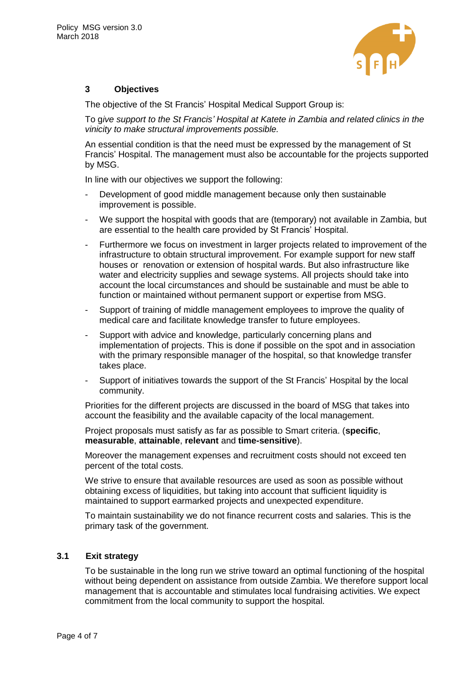

# **3 Objectives**

The objective of the St Francis' Hospital Medical Support Group is:

To g*ive support to the St Francis' Hospital at Katete in Zambia and related clinics in the vinicity to make structural improvements possible.* 

An essential condition is that the need must be expressed by the management of St Francis' Hospital. The management must also be accountable for the projects supported by MSG.

In line with our objectives we support the following:

- Development of good middle management because only then sustainable improvement is possible.
- We support the hospital with goods that are (temporary) not available in Zambia, but are essential to the health care provided by St Francis' Hospital.
- Furthermore we focus on investment in larger projects related to improvement of the infrastructure to obtain structural improvement. For example support for new staff houses or renovation or extension of hospital wards. But also infrastructure like water and electricity supplies and sewage systems. All projects should take into account the local circumstances and should be sustainable and must be able to function or maintained without permanent support or expertise from MSG.
- Support of training of middle management employees to improve the quality of medical care and facilitate knowledge transfer to future employees.
- Support with advice and knowledge, particularly concerning plans and implementation of projects. This is done if possible on the spot and in association with the primary responsible manager of the hospital, so that knowledge transfer takes place.
- Support of initiatives towards the support of the St Francis' Hospital by the local community.

Priorities for the different projects are discussed in the board of MSG that takes into account the feasibility and the available capacity of the local management.

Project proposals must satisfy as far as possible to Smart criteria. (**specific**, **measurable**, **attainable**, **relevant** and **time-sensitive**).

Moreover the management expenses and recruitment costs should not exceed ten percent of the total costs.

We strive to ensure that available resources are used as soon as possible without obtaining excess of liquidities, but taking into account that sufficient liquidity is maintained to support earmarked projects and unexpected expenditure.

To maintain sustainability we do not finance recurrent costs and salaries. This is the primary task of the government.

# **3.1 Exit strategy**

To be sustainable in the long run we strive toward an optimal functioning of the hospital without being dependent on assistance from outside Zambia. We therefore support local management that is accountable and stimulates local fundraising activities. We expect commitment from the local community to support the hospital.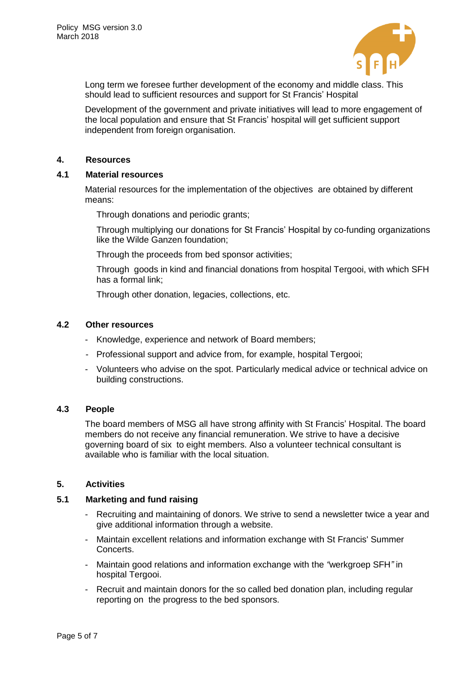

Long term we foresee further development of the economy and middle class. This should lead to sufficient resources and support for St Francis' Hospital

Development of the government and private initiatives will lead to more engagement of the local population and ensure that St Francis' hospital will get sufficient support independent from foreign organisation.

#### **4. Resources**

### **4.1 Material resources**

Material resources for the implementation of the objectives are obtained by different means:

Through donations and periodic grants;

Through multiplying our donations for St Francis' Hospital by co-funding organizations like the Wilde Ganzen foundation;

Through the proceeds from bed sponsor activities;

Through goods in kind and financial donations from hospital Tergooi, with which SFH has a formal link;

Through other donation, legacies, collections, etc.

## **4.2 Other resources**

- Knowledge, experience and network of Board members;
- Professional support and advice from, for example, hospital Tergooi;
- Volunteers who advise on the spot. Particularly medical advice or technical advice on building constructions.

#### **4.3 People**

The board members of MSG all have strong affinity with St Francis' Hospital. The board members do not receive any financial remuneration. We strive to have a decisive governing board of six to eight members. Also a volunteer technical consultant is available who is familiar with the local situation.

#### **5. Activities**

#### **5.1 Marketing and fund raising**

- Recruiting and maintaining of donors. We strive to send a newsletter twice a year and give additional information through a website.
- Maintain excellent relations and information exchange with St Francis' Summer Concerts.
- Maintain good relations and information exchange with the *"*werkgroep SFH*"* in hospital Tergooi.
- Recruit and maintain donors for the so called bed donation plan, including regular reporting on the progress to the bed sponsors.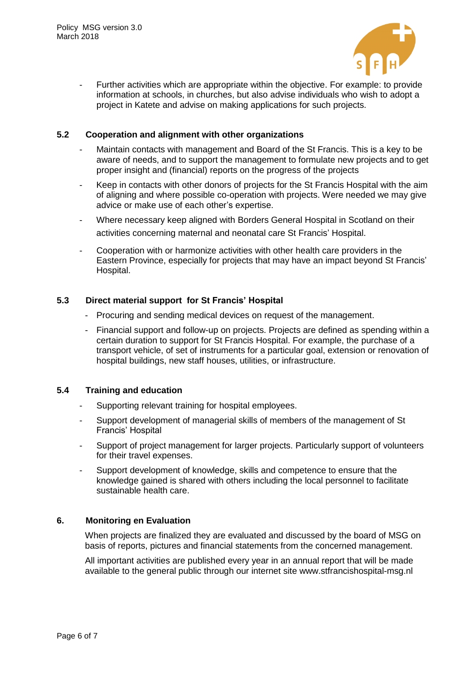

- Further activities which are appropriate within the objective. For example: to provide information at schools, in churches, but also advise individuals who wish to adopt a project in Katete and advise on making applications for such projects.

### **5.2 Cooperation and alignment with other organizations**

- Maintain contacts with management and Board of the St Francis. This is a key to be aware of needs, and to support the management to formulate new projects and to get proper insight and (financial) reports on the progress of the projects
- Keep in contacts with other donors of projects for the St Francis Hospital with the aim of aligning and where possible co-operation with projects. Were needed we may give advice or make use of each other's expertise.
- Where necessary keep aligned with Borders General Hospital in Scotland on their activities concerning maternal and neonatal care St Francis' Hospital.
- Cooperation with or harmonize activities with other health care providers in the Eastern Province, especially for projects that may have an impact beyond St Francis' Hospital.

## **5.3 Direct material support for St Francis' Hospital**

- Procuring and sending medical devices on request of the management.
- Financial support and follow-up on projects. Projects are defined as spending within a certain duration to support for St Francis Hospital. For example, the purchase of a transport vehicle, of set of instruments for a particular goal, extension or renovation of hospital buildings, new staff houses, utilities, or infrastructure.

## **5.4 Training and education**

- Supporting relevant training for hospital employees.
- Support development of managerial skills of members of the management of St Francis' Hospital
- Support of project management for larger projects. Particularly support of volunteers for their travel expenses.
- Support development of knowledge, skills and competence to ensure that the knowledge gained is shared with others including the local personnel to facilitate sustainable health care.

### **6. Monitoring en Evaluation**

When projects are finalized they are evaluated and discussed by the board of MSG on basis of reports, pictures and financial statements from the concerned management.

All important activities are published every year in an annual report that will be made available to the general public through our internet site www.stfrancishospital-msg.nl